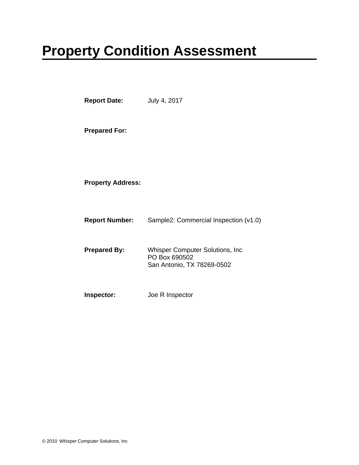# .**Property Condition Assessment**

| <b>Report Date:</b>      | July 4, 2017                                                                           |
|--------------------------|----------------------------------------------------------------------------------------|
| <b>Prepared For:</b>     |                                                                                        |
| <b>Property Address:</b> |                                                                                        |
| <b>Report Number:</b>    | Sample2: Commercial Inspection (v1.0)                                                  |
| <b>Prepared By:</b>      | <b>Whisper Computer Solutions, Inc.</b><br>PO Box 690502<br>San Antonio, TX 78269-0502 |
| Inspector:               | Joe R Inspector                                                                        |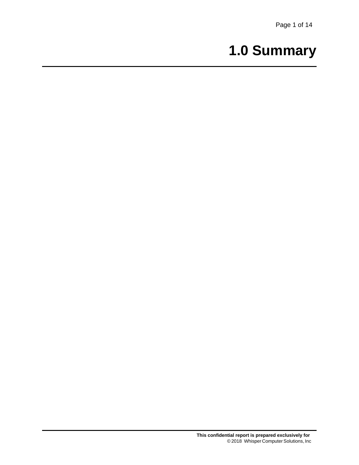# **1.0 Summary**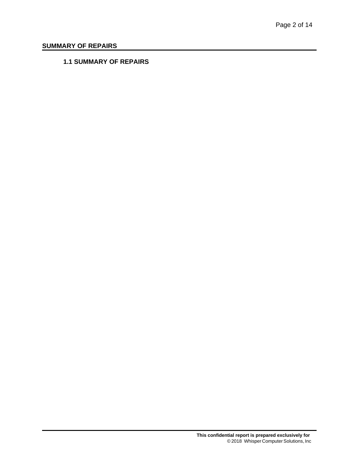## **SUMMARY OF REPAIRS**

### **1.1 SUMMARY OF REPAIRS**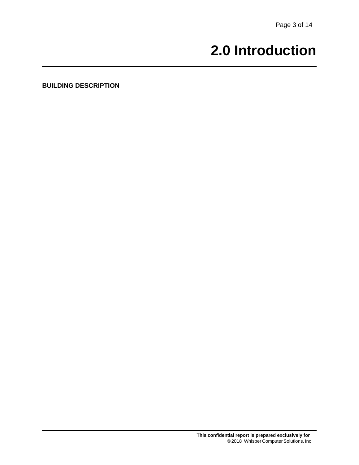## **2.0 Introduction**

**BUILDING DESCRIPTION**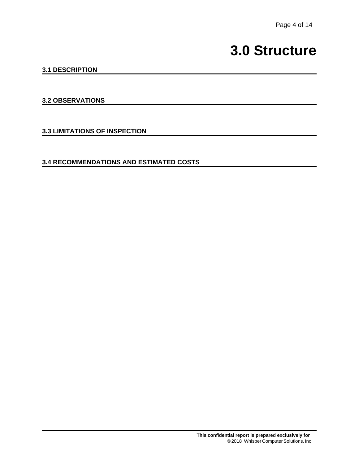## **3.0 Structure**

## **3.1 DESCRIPTION**

#### **3.2 OBSERVATIONS**

**3.3 LIMITATIONS OF INSPECTION**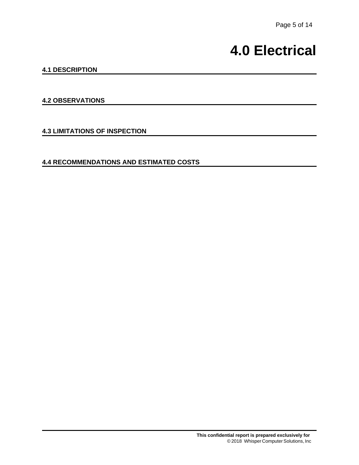## **4.0 Electrical**

## **4.1 DESCRIPTION**

### **4.2 OBSERVATIONS**

**4.3 LIMITATIONS OF INSPECTION**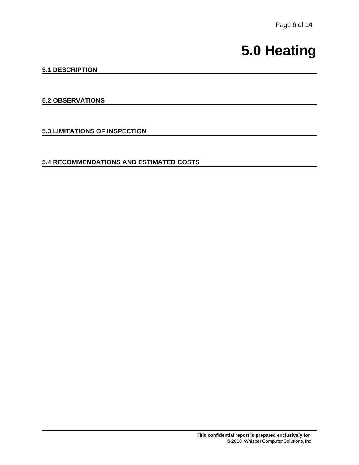## **5.0 Heating**

## **5.1 DESCRIPTION**

### **5.2 OBSERVATIONS**

**5.3 LIMITATIONS OF INSPECTION**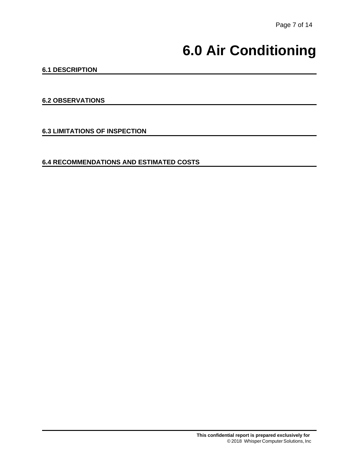# **6.0 Air Conditioning**

### **6.1 DESCRIPTION**

#### **6.2 OBSERVATIONS**

**6.3 LIMITATIONS OF INSPECTION**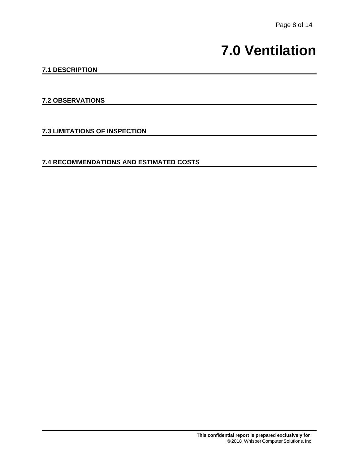## **7.0 Ventilation**

### **7.1 DESCRIPTION**

#### **7.2 OBSERVATIONS**

**7.3 LIMITATIONS OF INSPECTION**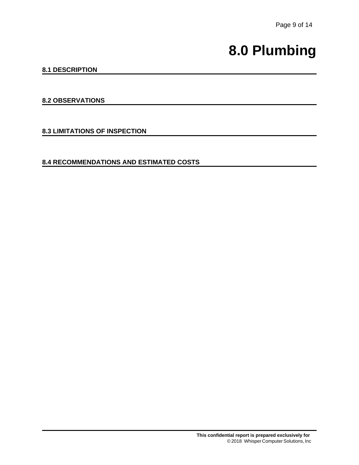## **8.0 Plumbing**

### **8.1 DESCRIPTION**

#### **8.2 OBSERVATIONS**

**8.3 LIMITATIONS OF INSPECTION**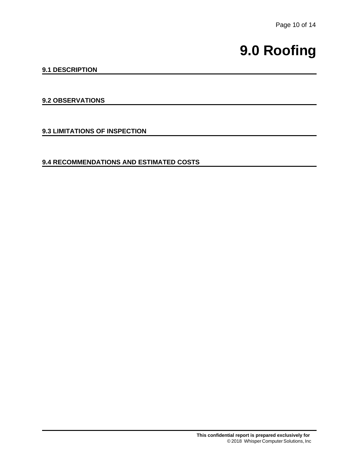# **9.0 Roofing**

### **9.1 DESCRIPTION**

#### **9.2 OBSERVATIONS**

**9.3 LIMITATIONS OF INSPECTION**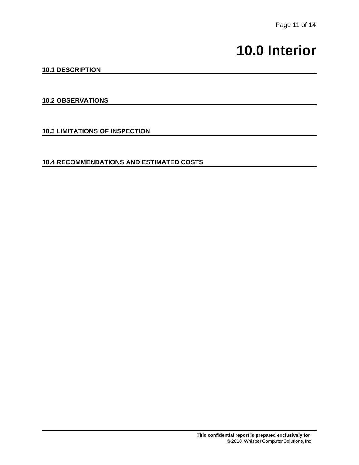## **10.0 Interior**

#### **10.1 DESCRIPTION**

#### **10.2 OBSERVATIONS**

**10.3 LIMITATIONS OF INSPECTION**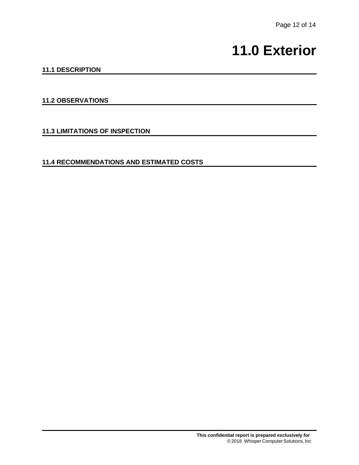## **11.0 Exterior**

### **11.1 DESCRIPTION**

### **11.2 OBSERVATIONS**

**11.3 LIMITATIONS OF INSPECTION**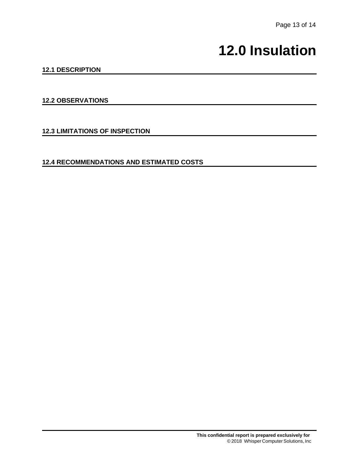## **12.0 Insulation**

### **12.1 DESCRIPTION**

#### **12.2 OBSERVATIONS**

**12.3 LIMITATIONS OF INSPECTION**